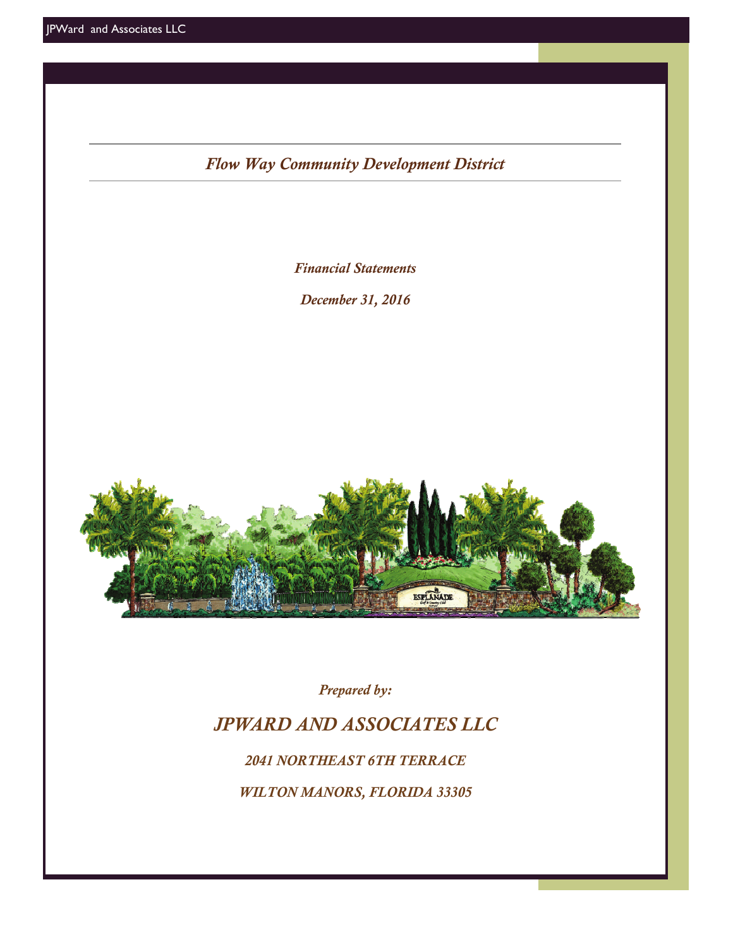*Flow Way Community Development District*

*Financial Statements* 

*December 31, 2016* 



*Prepared by:* 

# *JPWARD AND ASSOCIATES LLC*

*2041 NORTHEAST 6TH TERRACE* 

*WILTON MANORS, FLORIDA 33305*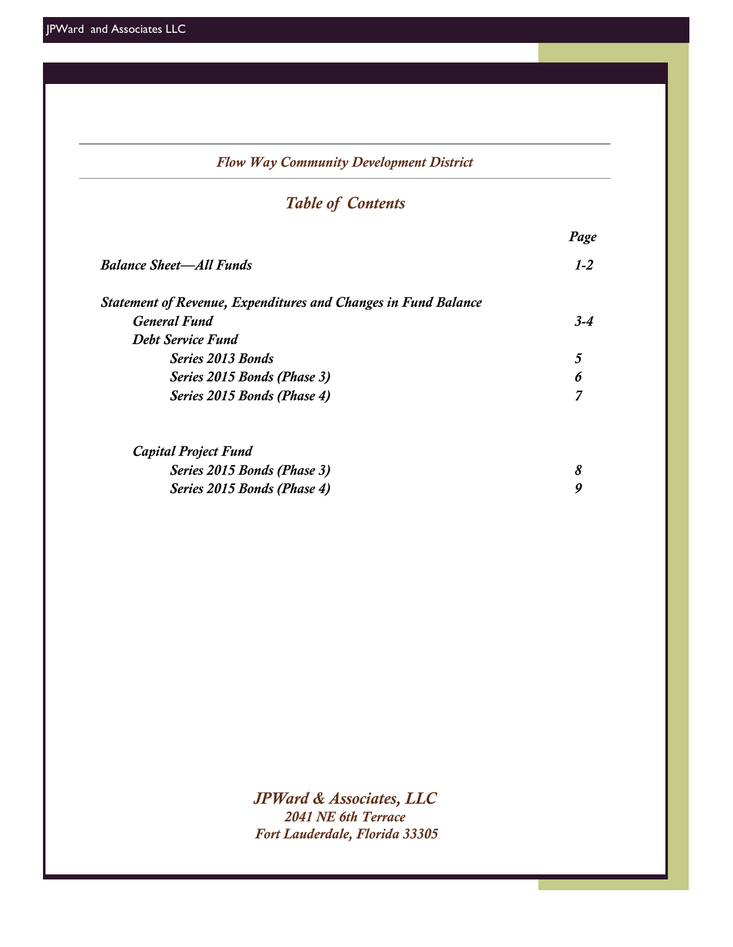| <b>Flow Way Community Development District</b>                        |         |  |  |  |  |  |  |  |  |
|-----------------------------------------------------------------------|---------|--|--|--|--|--|--|--|--|
| <b>Table of Contents</b>                                              |         |  |  |  |  |  |  |  |  |
|                                                                       |         |  |  |  |  |  |  |  |  |
| <b>Balance Sheet-All Funds</b>                                        | $1 - 2$ |  |  |  |  |  |  |  |  |
| <b>Statement of Revenue, Expenditures and Changes in Fund Balance</b> |         |  |  |  |  |  |  |  |  |
| <b>General Fund</b>                                                   | $3 - 4$ |  |  |  |  |  |  |  |  |
| <b>Debt Service Fund</b>                                              |         |  |  |  |  |  |  |  |  |
| <b>Series 2013 Bonds</b>                                              | 5       |  |  |  |  |  |  |  |  |
| Series 2015 Bonds (Phase 3)                                           | 6       |  |  |  |  |  |  |  |  |
| Series 2015 Bonds (Phase 4)                                           | 7       |  |  |  |  |  |  |  |  |
| <b>Capital Project Fund</b>                                           |         |  |  |  |  |  |  |  |  |
| Series 2015 Bonds (Phase 3)                                           | 8       |  |  |  |  |  |  |  |  |
| Series 2015 Bonds (Phase 4)                                           | 9       |  |  |  |  |  |  |  |  |
|                                                                       |         |  |  |  |  |  |  |  |  |

*JPWard & Associates, LLC 2041 NE 6th Terrace Fort Lauderdale, Florida 33305*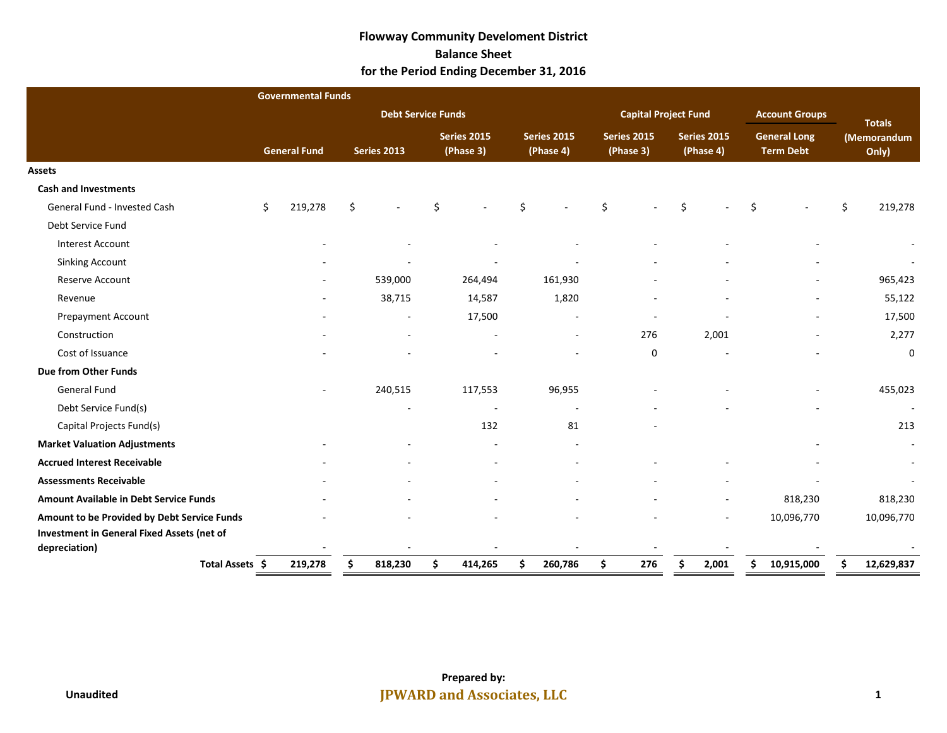### **Flowway Community Develoment District Balance Sheet for the Period Ending December 31, 2016**

|                                               | <b>Governmental Funds</b> |                           |    |                                 |    |                                 |                                 |                             |                                 |                          |    |                                         |               |                      |
|-----------------------------------------------|---------------------------|---------------------------|----|---------------------------------|----|---------------------------------|---------------------------------|-----------------------------|---------------------------------|--------------------------|----|-----------------------------------------|---------------|----------------------|
|                                               |                           | <b>Debt Service Funds</b> |    |                                 |    |                                 |                                 | <b>Capital Project Fund</b> |                                 |                          |    | <b>Account Groups</b>                   | <b>Totals</b> |                      |
|                                               | <b>General Fund</b>       | <b>Series 2013</b>        |    | <b>Series 2015</b><br>(Phase 3) |    | <b>Series 2015</b><br>(Phase 4) | <b>Series 2015</b><br>(Phase 3) |                             | <b>Series 2015</b><br>(Phase 4) |                          |    | <b>General Long</b><br><b>Term Debt</b> |               | (Memorandum<br>Only) |
| <b>Assets</b>                                 |                           |                           |    |                                 |    |                                 |                                 |                             |                                 |                          |    |                                         |               |                      |
| <b>Cash and Investments</b>                   |                           |                           |    |                                 |    |                                 |                                 |                             |                                 |                          |    |                                         |               |                      |
| General Fund - Invested Cash                  | \$<br>219,278             | \$                        | Ś. |                                 | Ś  |                                 | Ś.                              |                             | ς                               |                          | Š. |                                         | \$            | 219,278              |
| Debt Service Fund                             |                           |                           |    |                                 |    |                                 |                                 |                             |                                 |                          |    |                                         |               |                      |
| <b>Interest Account</b>                       |                           |                           |    |                                 |    |                                 |                                 |                             |                                 |                          |    |                                         |               |                      |
| <b>Sinking Account</b>                        |                           |                           |    |                                 |    |                                 |                                 |                             |                                 |                          |    |                                         |               |                      |
| Reserve Account                               |                           | 539,000                   |    | 264,494                         |    | 161,930                         |                                 |                             |                                 |                          |    |                                         |               | 965,423              |
| Revenue                                       |                           | 38,715                    |    | 14,587                          |    | 1,820                           |                                 | $\overline{a}$              |                                 |                          |    |                                         |               | 55,122               |
| Prepayment Account                            |                           |                           |    | 17,500                          |    | ٠                               |                                 |                             |                                 |                          |    |                                         |               | 17,500               |
| Construction                                  |                           |                           |    | $\overline{a}$                  |    | $\overline{\phantom{0}}$        |                                 | 276                         |                                 | 2,001                    |    |                                         |               | 2,277                |
| Cost of Issuance                              |                           |                           |    |                                 |    |                                 |                                 | $\mathbf 0$                 |                                 |                          |    |                                         |               | $\mathbf{0}$         |
| Due from Other Funds                          |                           |                           |    |                                 |    |                                 |                                 |                             |                                 |                          |    |                                         |               |                      |
| General Fund                                  |                           | 240,515                   |    | 117,553                         |    | 96,955                          |                                 |                             |                                 |                          |    |                                         |               | 455,023              |
| Debt Service Fund(s)                          |                           |                           |    | $\overline{\phantom{a}}$        |    |                                 |                                 |                             |                                 |                          |    |                                         |               |                      |
| Capital Projects Fund(s)                      |                           |                           |    | 132                             |    | 81                              |                                 |                             |                                 |                          |    |                                         |               | 213                  |
| <b>Market Valuation Adjustments</b>           |                           |                           |    |                                 |    |                                 |                                 |                             |                                 |                          |    |                                         |               |                      |
| <b>Accrued Interest Receivable</b>            |                           |                           |    |                                 |    |                                 |                                 |                             |                                 |                          |    |                                         |               |                      |
| <b>Assessments Receivable</b>                 |                           |                           |    |                                 |    |                                 |                                 |                             |                                 |                          |    |                                         |               |                      |
| <b>Amount Available in Debt Service Funds</b> |                           |                           |    |                                 |    |                                 |                                 |                             |                                 | $\overline{\phantom{a}}$ |    | 818,230                                 |               | 818,230              |
| Amount to be Provided by Debt Service Funds   |                           |                           |    |                                 |    |                                 |                                 |                             |                                 |                          |    | 10,096,770                              |               | 10,096,770           |
| Investment in General Fixed Assets (net of    |                           |                           |    |                                 |    |                                 |                                 |                             |                                 |                          |    |                                         |               |                      |
| depreciation)                                 |                           |                           |    |                                 |    |                                 |                                 |                             |                                 |                          |    |                                         |               |                      |
| Total Assets \$                               | 219,278                   | \$<br>818,230             | \$ | 414,265                         | \$ | 260,786                         | \$                              | 276                         | \$                              | 2,001                    | \$ | 10,915,000                              | \$            | 12,629,837           |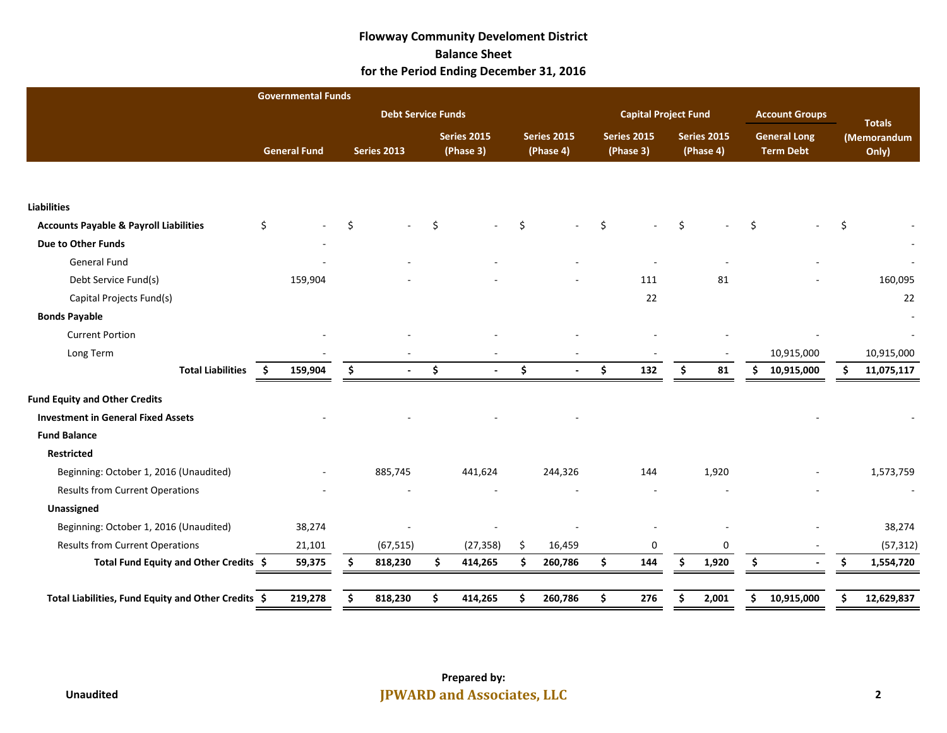### **Flowway Community Develoment District Balance Sheet for the Period Ending December 31, 2016**

|                                                     | <b>Governmental Funds</b> |    |                           |    |                                 |                                 |    |                                 |                                 |       |                                         |                       |                      |            |
|-----------------------------------------------------|---------------------------|----|---------------------------|----|---------------------------------|---------------------------------|----|---------------------------------|---------------------------------|-------|-----------------------------------------|-----------------------|----------------------|------------|
|                                                     |                           |    | <b>Debt Service Funds</b> |    |                                 |                                 |    | <b>Capital Project Fund</b>     |                                 |       |                                         | <b>Account Groups</b> | <b>Totals</b>        |            |
|                                                     | <b>General Fund</b>       |    | <b>Series 2013</b>        |    | <b>Series 2015</b><br>(Phase 3) | <b>Series 2015</b><br>(Phase 4) |    | <b>Series 2015</b><br>(Phase 3) | <b>Series 2015</b><br>(Phase 4) |       | <b>General Long</b><br><b>Term Debt</b> |                       | (Memorandum<br>Only) |            |
|                                                     |                           |    |                           |    |                                 |                                 |    |                                 |                                 |       |                                         |                       |                      |            |
| <b>Liabilities</b>                                  |                           |    |                           |    |                                 |                                 |    |                                 |                                 |       |                                         |                       |                      |            |
| <b>Accounts Payable &amp; Payroll Liabilities</b>   | Ś.                        | Ŝ. |                           | Ŝ. |                                 | \$                              | Ś. |                                 | Ŝ.                              |       | Ŝ.                                      |                       |                      |            |
| Due to Other Funds                                  |                           |    |                           |    |                                 |                                 |    |                                 |                                 |       |                                         |                       |                      |            |
| General Fund                                        |                           |    |                           |    |                                 |                                 |    |                                 |                                 |       |                                         |                       |                      |            |
| Debt Service Fund(s)                                | 159,904                   |    |                           |    |                                 |                                 |    | 111                             |                                 | 81    |                                         |                       |                      | 160,095    |
| Capital Projects Fund(s)                            |                           |    |                           |    |                                 |                                 |    | 22                              |                                 |       |                                         |                       |                      | 22         |
| <b>Bonds Payable</b>                                |                           |    |                           |    |                                 |                                 |    |                                 |                                 |       |                                         |                       |                      |            |
| <b>Current Portion</b>                              |                           |    |                           |    |                                 |                                 |    |                                 |                                 |       |                                         |                       |                      |            |
| Long Term                                           |                           |    |                           |    |                                 |                                 |    |                                 |                                 |       |                                         | 10,915,000            |                      | 10,915,000 |
| <b>Total Liabilities</b>                            | 159,904<br>- Ś            | \$ |                           | \$ | $\mathbf{r}$                    | \$                              | \$ | 132                             | \$                              | 81    | \$.                                     | 10,915,000            | \$                   | 11,075,117 |
| <b>Fund Equity and Other Credits</b>                |                           |    |                           |    |                                 |                                 |    |                                 |                                 |       |                                         |                       |                      |            |
| <b>Investment in General Fixed Assets</b>           |                           |    |                           |    |                                 |                                 |    |                                 |                                 |       |                                         |                       |                      |            |
| <b>Fund Balance</b>                                 |                           |    |                           |    |                                 |                                 |    |                                 |                                 |       |                                         |                       |                      |            |
| <b>Restricted</b>                                   |                           |    |                           |    |                                 |                                 |    |                                 |                                 |       |                                         |                       |                      |            |
| Beginning: October 1, 2016 (Unaudited)              |                           |    | 885,745                   |    | 441,624                         | 244,326                         |    | 144                             |                                 | 1,920 |                                         |                       |                      | 1,573,759  |
| <b>Results from Current Operations</b>              |                           |    |                           |    |                                 |                                 |    |                                 |                                 |       |                                         |                       |                      |            |
| Unassigned                                          |                           |    |                           |    |                                 |                                 |    |                                 |                                 |       |                                         |                       |                      |            |
| Beginning: October 1, 2016 (Unaudited)              | 38,274                    |    |                           |    |                                 |                                 |    |                                 |                                 |       |                                         |                       |                      | 38,274     |
| <b>Results from Current Operations</b>              | 21,101                    |    | (67, 515)                 |    | (27, 358)                       | \$<br>16,459                    |    | 0                               |                                 | 0     |                                         |                       |                      | (57, 312)  |
| Total Fund Equity and Other Credits \$              | 59,375                    | Ŝ. | 818,230                   | \$ | 414,265                         | \$<br>260,786                   | \$ | 144                             | Ś.                              | 1,920 | Ŝ.                                      | $\sim$                | Ŝ.                   | 1,554,720  |
| Total Liabilities, Fund Equity and Other Credits \$ | 219,278                   | \$ | 818,230                   | \$ | 414,265                         | \$<br>260,786                   | \$ | 276                             | \$                              | 2,001 | \$                                      | 10,915,000            | \$                   | 12,629,837 |
|                                                     |                           |    |                           |    |                                 |                                 |    |                                 |                                 |       |                                         |                       |                      |            |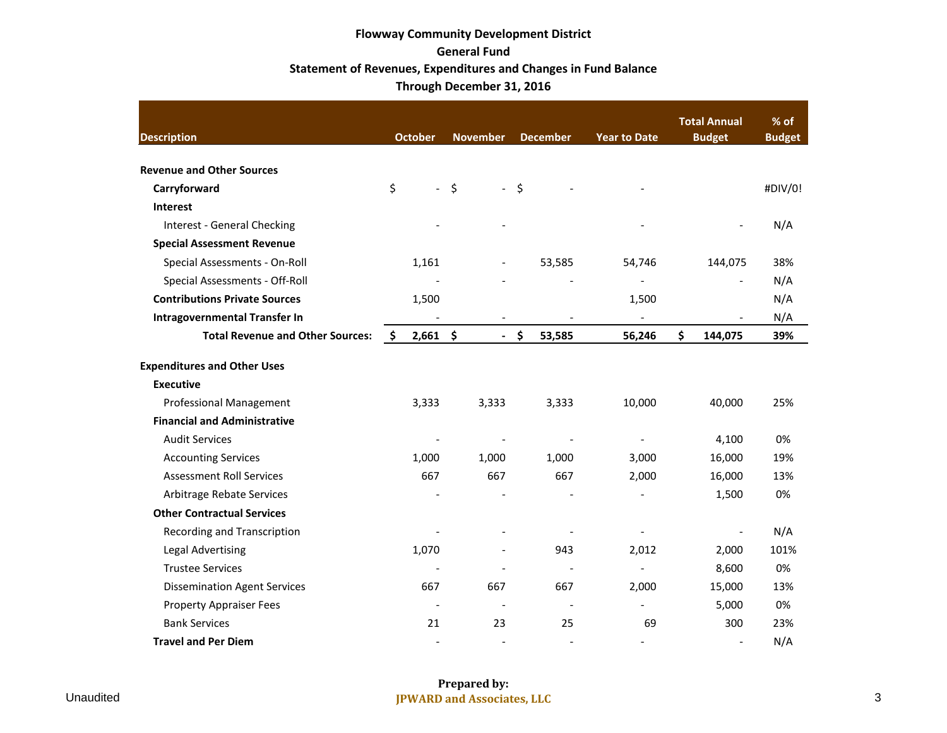# **Flowway Community Development District General Fund Statement of Revenues, Expenditures and Changes in Fund Balance Through December 31, 2016**

| <b>Description</b>                      | <b>October</b>           | <b>November</b>                | <b>December</b>          | <b>Year to Date</b>      | <b>Total Annual</b><br><b>Budget</b> | $%$ of<br><b>Budget</b> |
|-----------------------------------------|--------------------------|--------------------------------|--------------------------|--------------------------|--------------------------------------|-------------------------|
| <b>Revenue and Other Sources</b>        |                          |                                |                          |                          |                                      |                         |
| Carryforward                            | \$<br>$\blacksquare$     | $\zeta$<br>$\omega_{\rm{eff}}$ | \$                       |                          |                                      | #DIV/0!                 |
| <b>Interest</b>                         |                          |                                |                          |                          |                                      |                         |
| Interest - General Checking             |                          |                                |                          |                          |                                      | N/A                     |
| <b>Special Assessment Revenue</b>       |                          |                                |                          |                          |                                      |                         |
| Special Assessments - On-Roll           | 1,161                    |                                | 53,585                   | 54,746                   | 144,075                              | 38%                     |
| Special Assessments - Off-Roll          |                          |                                |                          |                          |                                      | N/A                     |
| <b>Contributions Private Sources</b>    | 1,500                    |                                |                          | 1,500                    |                                      | N/A                     |
| <b>Intragovernmental Transfer In</b>    |                          |                                |                          | $\overline{\phantom{a}}$ |                                      | N/A                     |
| <b>Total Revenue and Other Sources:</b> | $2,661$ \$<br>-\$        |                                | $-$ \$<br>53,585         | 56,246                   | \$<br>144,075                        | 39%                     |
| <b>Expenditures and Other Uses</b>      |                          |                                |                          |                          |                                      |                         |
| <b>Executive</b>                        |                          |                                |                          |                          |                                      |                         |
| <b>Professional Management</b>          | 3,333                    | 3,333                          | 3,333                    | 10,000                   | 40,000                               | 25%                     |
| <b>Financial and Administrative</b>     |                          |                                |                          |                          |                                      |                         |
| <b>Audit Services</b>                   |                          |                                |                          |                          | 4,100                                | 0%                      |
| <b>Accounting Services</b>              | 1,000                    | 1,000                          | 1,000                    | 3,000                    | 16,000                               | 19%                     |
| <b>Assessment Roll Services</b>         | 667                      | 667                            | 667                      | 2,000                    | 16,000                               | 13%                     |
| Arbitrage Rebate Services               |                          |                                |                          |                          | 1,500                                | 0%                      |
| <b>Other Contractual Services</b>       |                          |                                |                          |                          |                                      |                         |
| Recording and Transcription             |                          |                                |                          |                          |                                      | N/A                     |
| <b>Legal Advertising</b>                | 1,070                    |                                | 943                      | 2,012                    | 2,000                                | 101%                    |
| <b>Trustee Services</b>                 |                          |                                |                          | $\overline{a}$           | 8,600                                | 0%                      |
| <b>Dissemination Agent Services</b>     | 667                      | 667                            | 667                      | 2,000                    | 15,000                               | 13%                     |
| <b>Property Appraiser Fees</b>          | $\overline{a}$           |                                |                          |                          | 5,000                                | 0%                      |
| <b>Bank Services</b>                    | 21                       | 23                             | 25                       | 69                       | 300                                  | 23%                     |
| <b>Travel and Per Diem</b>              | $\overline{\phantom{a}}$ | $\overline{\phantom{a}}$       | $\overline{\phantom{a}}$ | $\blacksquare$           | $\overline{a}$                       | N/A                     |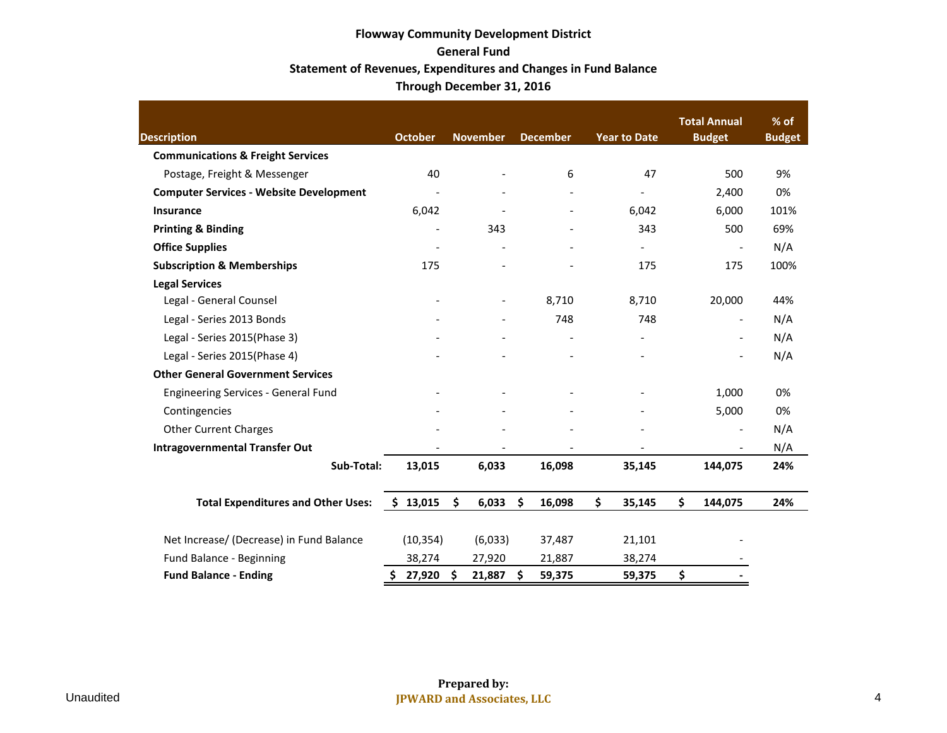# **Flowway Community Development District General Fund Statement of Revenues, Expenditures and Changes in Fund Balance Through December 31, 2016**

| <b>Description</b>                             | <b>October</b>           | <b>November</b>          | <b>December</b> | <b>Year to Date</b>      | <b>Total Annual</b><br><b>Budget</b> | % of<br><b>Budget</b> |
|------------------------------------------------|--------------------------|--------------------------|-----------------|--------------------------|--------------------------------------|-----------------------|
| <b>Communications &amp; Freight Services</b>   |                          |                          |                 |                          |                                      |                       |
| Postage, Freight & Messenger                   | 40                       |                          | 6               | 47                       | 500                                  | 9%                    |
| <b>Computer Services - Website Development</b> |                          |                          |                 |                          | 2,400                                | 0%                    |
| Insurance                                      | 6,042                    |                          |                 | 6,042                    | 6,000                                | 101%                  |
| <b>Printing &amp; Binding</b>                  |                          | 343                      |                 | 343                      | 500                                  | 69%                   |
| <b>Office Supplies</b>                         | $\overline{\phantom{a}}$ |                          |                 | $\overline{\phantom{0}}$ | $\overline{\phantom{a}}$             | N/A                   |
| <b>Subscription &amp; Memberships</b>          | 175                      |                          |                 | 175                      | 175                                  | 100%                  |
| <b>Legal Services</b>                          |                          |                          |                 |                          |                                      |                       |
| Legal - General Counsel                        |                          | $\overline{\phantom{a}}$ | 8,710           | 8,710                    | 20,000                               | 44%                   |
| Legal - Series 2013 Bonds                      |                          |                          | 748             | 748                      | $\overline{\phantom{a}}$             | N/A                   |
| Legal - Series 2015(Phase 3)                   |                          |                          |                 | $\overline{\phantom{0}}$ | $\blacksquare$                       | N/A                   |
| Legal - Series 2015(Phase 4)                   |                          |                          |                 |                          |                                      | N/A                   |
| <b>Other General Government Services</b>       |                          |                          |                 |                          |                                      |                       |
| <b>Engineering Services - General Fund</b>     |                          |                          |                 |                          | 1,000                                | 0%                    |
| Contingencies                                  |                          |                          |                 |                          | 5,000                                | 0%                    |
| <b>Other Current Charges</b>                   |                          |                          |                 |                          | $\blacksquare$                       | N/A                   |
| <b>Intragovernmental Transfer Out</b>          |                          |                          |                 |                          |                                      | N/A                   |
| Sub-Total:                                     | 13,015                   | 6,033                    | 16,098          | 35,145                   | 144,075                              | 24%                   |
| <b>Total Expenditures and Other Uses:</b>      | \$13,015                 | \$<br>6,033              | \$<br>16,098    | \$<br>35,145             | \$<br>144,075                        | 24%                   |
| Net Increase/ (Decrease) in Fund Balance       | (10, 354)                | (6,033)                  | 37,487          | 21,101                   |                                      |                       |
| Fund Balance - Beginning                       | 38,274                   | 27,920                   | 21,887          | 38,274                   |                                      |                       |
| <b>Fund Balance - Ending</b>                   | 27,920<br>\$             | \$<br>21,887             | \$<br>59,375    | 59,375                   | \$                                   |                       |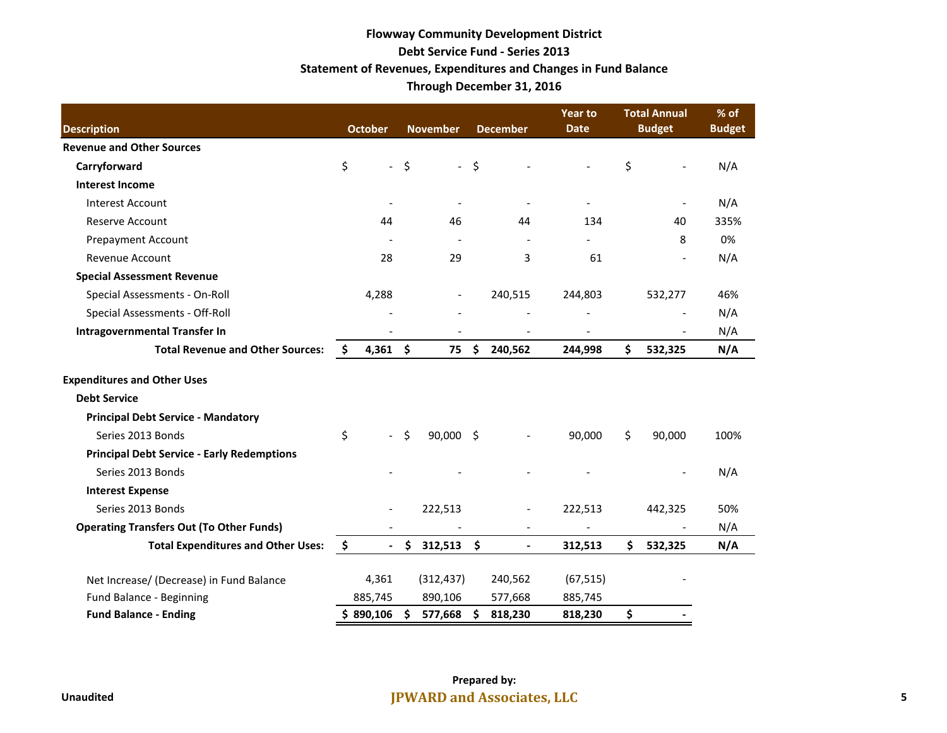# **Flowway Community Development District Debt Service Fund - Series 2013 Statement of Revenues, Expenditures and Changes in Fund Balance Through December 31, 2016**

|                                                   |    |                           |         |                 |                     |                          | Year to                  |     | <b>Total Annual</b> | % of          |
|---------------------------------------------------|----|---------------------------|---------|-----------------|---------------------|--------------------------|--------------------------|-----|---------------------|---------------|
| <b>Description</b>                                |    | <b>October</b>            |         | <b>November</b> |                     | <b>December</b>          | <b>Date</b>              |     | <b>Budget</b>       | <b>Budget</b> |
| <b>Revenue and Other Sources</b>                  |    |                           |         |                 |                     |                          |                          |     |                     |               |
| Carryforward                                      | \$ | $\overline{\phantom{a}}$  | $\zeta$ | $\sim$          | \$                  |                          |                          | \$  |                     | N/A           |
| <b>Interest Income</b>                            |    |                           |         |                 |                     |                          |                          |     |                     |               |
| <b>Interest Account</b>                           |    | $\overline{\phantom{a}}$  |         |                 |                     | $\overline{a}$           | $\overline{\phantom{a}}$ |     |                     | N/A           |
| <b>Reserve Account</b>                            |    | 44                        |         | 46              |                     | 44                       | 134                      |     | 40                  | 335%          |
| <b>Prepayment Account</b>                         |    |                           |         |                 |                     |                          |                          |     | 8                   | 0%            |
| <b>Revenue Account</b>                            |    | 28                        |         | 29              |                     | 3                        | 61                       |     |                     | N/A           |
| <b>Special Assessment Revenue</b>                 |    |                           |         |                 |                     |                          |                          |     |                     |               |
| Special Assessments - On-Roll                     |    | 4,288                     |         |                 |                     | 240,515                  | 244,803                  |     | 532,277             | 46%           |
| Special Assessments - Off-Roll                    |    |                           |         |                 |                     |                          |                          |     |                     | N/A           |
| <b>Intragovernmental Transfer In</b>              |    |                           |         |                 |                     |                          |                          |     |                     | N/A           |
| <b>Total Revenue and Other Sources:</b>           | S  | 4,361                     | \$      | 75              | \$.                 | 240,562                  | 244,998                  | \$  | 532,325             | N/A           |
| <b>Expenditures and Other Uses</b>                |    |                           |         |                 |                     |                          |                          |     |                     |               |
| <b>Debt Service</b>                               |    |                           |         |                 |                     |                          |                          |     |                     |               |
| <b>Principal Debt Service - Mandatory</b>         |    |                           |         |                 |                     |                          |                          |     |                     |               |
| Series 2013 Bonds                                 | \$ | $\mathbb{L}^{\mathbb{N}}$ | $\zeta$ | 90,000 \$       |                     |                          | 90,000                   | \$  | 90,000              | 100%          |
| <b>Principal Debt Service - Early Redemptions</b> |    |                           |         |                 |                     |                          |                          |     |                     |               |
| Series 2013 Bonds                                 |    |                           |         |                 |                     |                          |                          |     |                     | N/A           |
| <b>Interest Expense</b>                           |    |                           |         |                 |                     |                          |                          |     |                     |               |
| Series 2013 Bonds                                 |    | $\overline{\phantom{a}}$  |         | 222,513         |                     | $\overline{\phantom{a}}$ | 222,513                  |     | 442,325             | 50%           |
| <b>Operating Transfers Out (To Other Funds)</b>   |    |                           |         |                 |                     | $\overline{\phantom{a}}$ | $\overline{\phantom{a}}$ |     |                     | N/A           |
| <b>Total Expenditures and Other Uses:</b>         | \$ | $\overline{\phantom{a}}$  | \$      | $312,513$ \$    |                     | $\overline{\phantom{a}}$ | 312,513                  | \$. | 532,325             | N/A           |
| Net Increase/ (Decrease) in Fund Balance          |    | 4,361                     |         | (312, 437)      |                     | 240,562                  | (67, 515)                |     |                     |               |
| Fund Balance - Beginning                          |    | 885,745                   |         | 890,106         |                     | 577,668                  | 885,745                  |     |                     |               |
| <b>Fund Balance - Ending</b>                      |    | \$890,106                 | \$      | 577,668         | $\ddot{\bm{\zeta}}$ | 818,230                  | 818,230                  | \$  |                     |               |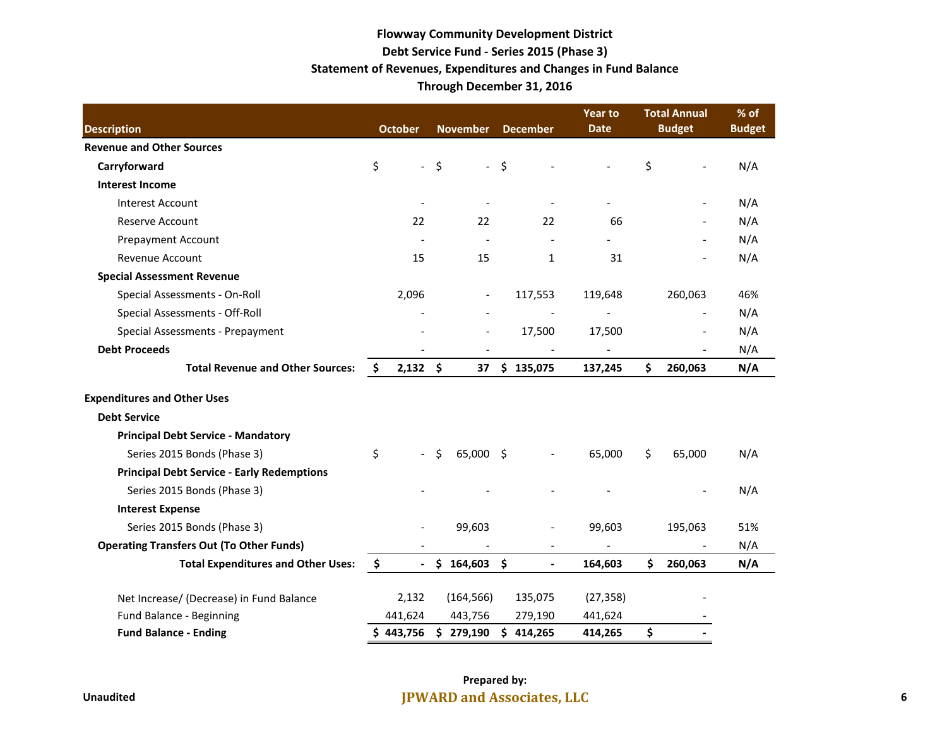# **Flowway Community Development District Debt Service Fund - Series 2015 (Phase 3) Statement of Revenues, Expenditures and Changes in Fund Balance Through December 31, 2016**

|                                                   |                      |      |                          |         |                 | <b>Year to</b> | <b>Total Annual</b> | % of          |
|---------------------------------------------------|----------------------|------|--------------------------|---------|-----------------|----------------|---------------------|---------------|
| <b>Description</b>                                | <b>October</b>       |      | <b>November</b>          |         | <b>December</b> | <b>Date</b>    | <b>Budget</b>       | <b>Budget</b> |
| <b>Revenue and Other Sources</b>                  |                      |      |                          |         |                 |                |                     |               |
| Carryforward                                      | \$                   | $-5$ | $\equiv$                 | $\zeta$ |                 |                | \$                  | N/A           |
| <b>Interest Income</b>                            |                      |      |                          |         |                 |                |                     |               |
| <b>Interest Account</b>                           |                      |      |                          |         |                 |                |                     | N/A           |
| <b>Reserve Account</b>                            | 22                   |      | 22                       |         | 22              | 66             |                     | N/A           |
| <b>Prepayment Account</b>                         |                      |      |                          |         |                 |                |                     | N/A           |
| Revenue Account                                   | 15                   |      | 15                       |         | 1               | 31             |                     | N/A           |
| <b>Special Assessment Revenue</b>                 |                      |      |                          |         |                 |                |                     |               |
| Special Assessments - On-Roll                     | 2,096                |      | $\overline{\phantom{a}}$ |         | 117,553         | 119,648        | 260,063             | 46%           |
| Special Assessments - Off-Roll                    |                      |      | $\overline{a}$           |         |                 |                |                     | N/A           |
| Special Assessments - Prepayment                  |                      |      | $\overline{\phantom{m}}$ |         | 17,500          | 17,500         |                     | N/A           |
| <b>Debt Proceeds</b>                              |                      |      | $\overline{\phantom{a}}$ |         |                 |                |                     | N/A           |
| <b>Total Revenue and Other Sources:</b>           | \$<br>$2,132$ \$     |      | 37                       |         | \$135,075       | 137,245        | \$<br>260,063       | N/A           |
| <b>Expenditures and Other Uses</b>                |                      |      |                          |         |                 |                |                     |               |
| <b>Debt Service</b>                               |                      |      |                          |         |                 |                |                     |               |
| <b>Principal Debt Service - Mandatory</b>         |                      |      |                          |         |                 |                |                     |               |
| Series 2015 Bonds (Phase 3)                       | \$                   | Ŝ.   | 65,000                   | \$      |                 | 65,000         | \$<br>65,000        | N/A           |
| <b>Principal Debt Service - Early Redemptions</b> |                      |      |                          |         |                 |                |                     |               |
| Series 2015 Bonds (Phase 3)                       |                      |      |                          |         |                 |                |                     | N/A           |
| <b>Interest Expense</b>                           |                      |      |                          |         |                 |                |                     |               |
| Series 2015 Bonds (Phase 3)                       |                      |      | 99,603                   |         |                 | 99,603         | 195,063             | 51%           |
| <b>Operating Transfers Out (To Other Funds)</b>   |                      |      |                          |         |                 |                |                     | N/A           |
| <b>Total Expenditures and Other Uses:</b>         | \$<br>$\blacksquare$ | \$   | 164,603 \$               |         | $\blacksquare$  | 164,603        | \$<br>260,063       | N/A           |
| Net Increase/ (Decrease) in Fund Balance          | 2,132                |      | (164, 566)               |         | 135,075         | (27, 358)      |                     |               |
| Fund Balance - Beginning                          | 441,624              |      | 443,756                  |         | 279,190         | 441,624        |                     |               |
| <b>Fund Balance - Ending</b>                      | \$443,756            |      | \$279,190                |         | \$414,265       | 414,265        | \$                  |               |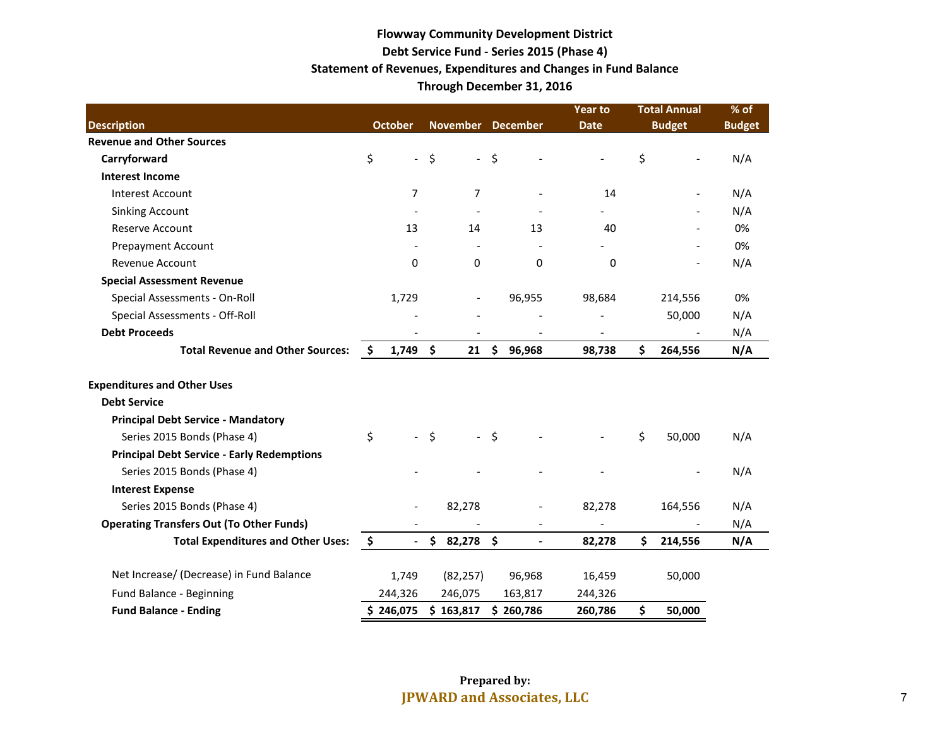# **Flowway Community Development District Debt Service Fund - Series 2015 (Phase 4) Statement of Revenues, Expenditures and Changes in Fund Balance Through December 31, 2016**

|                                                   |               |                          |                     |                 |                     |                          | <b>Year to</b> | <b>Total Annual</b> |               | % of          |
|---------------------------------------------------|---------------|--------------------------|---------------------|-----------------|---------------------|--------------------------|----------------|---------------------|---------------|---------------|
| <b>Description</b>                                |               | <b>October</b>           |                     | <b>November</b> |                     | <b>December</b>          | <b>Date</b>    |                     | <b>Budget</b> | <b>Budget</b> |
| <b>Revenue and Other Sources</b>                  |               |                          |                     |                 |                     |                          |                |                     |               |               |
| Carryforward                                      | \$            | $\overline{\phantom{a}}$ | \$                  | $\sim$          | \$                  |                          |                | \$                  |               | N/A           |
| <b>Interest Income</b>                            |               |                          |                     |                 |                     |                          |                |                     |               |               |
| <b>Interest Account</b>                           |               | 7                        |                     | 7               |                     |                          | 14             |                     |               | N/A           |
| <b>Sinking Account</b>                            |               |                          |                     |                 |                     |                          |                |                     |               | N/A           |
| <b>Reserve Account</b>                            |               | 13                       |                     | 14              |                     | 13                       | 40             |                     |               | 0%            |
| <b>Prepayment Account</b>                         |               |                          |                     |                 |                     |                          |                |                     |               | 0%            |
| Revenue Account                                   |               | $\Omega$                 |                     | $\Omega$        |                     | $\Omega$                 | $\Omega$       |                     |               | N/A           |
| <b>Special Assessment Revenue</b>                 |               |                          |                     |                 |                     |                          |                |                     |               |               |
| Special Assessments - On-Roll                     |               | 1,729                    |                     |                 |                     | 96,955                   | 98,684         |                     | 214,556       | 0%            |
| Special Assessments - Off-Roll                    |               |                          |                     |                 |                     |                          |                |                     | 50,000        | N/A           |
| <b>Debt Proceeds</b>                              |               |                          |                     |                 |                     |                          |                |                     |               | N/A           |
| <b>Total Revenue and Other Sources:</b>           | \$            | $1,749$ \$               |                     | 21              | $\ddot{\bm{\zeta}}$ | 96,968                   | 98,738         | \$                  | 264,556       | N/A           |
| <b>Expenditures and Other Uses</b>                |               |                          |                     |                 |                     |                          |                |                     |               |               |
| <b>Debt Service</b>                               |               |                          |                     |                 |                     |                          |                |                     |               |               |
| <b>Principal Debt Service - Mandatory</b>         |               |                          |                     |                 |                     |                          |                |                     |               |               |
| Series 2015 Bonds (Phase 4)                       | \$            |                          | $\ddot{\mathsf{S}}$ |                 | $-5$                |                          |                | \$                  | 50,000        | N/A           |
| <b>Principal Debt Service - Early Redemptions</b> |               |                          |                     |                 |                     |                          |                |                     |               |               |
| Series 2015 Bonds (Phase 4)                       |               |                          |                     |                 |                     |                          |                |                     |               | N/A           |
| <b>Interest Expense</b>                           |               |                          |                     |                 |                     |                          |                |                     |               |               |
| Series 2015 Bonds (Phase 4)                       |               |                          |                     | 82,278          |                     |                          | 82,278         |                     | 164,556       | N/A           |
| <b>Operating Transfers Out (To Other Funds)</b>   |               |                          |                     |                 |                     |                          |                |                     |               | N/A           |
| <b>Total Expenditures and Other Uses:</b>         | $\frac{1}{2}$ | $\overline{\phantom{a}}$ |                     | \$82,278\$      |                     | $\overline{\phantom{a}}$ | 82,278         | \$                  | 214,556       | N/A           |
| Net Increase/ (Decrease) in Fund Balance          |               | 1,749                    |                     | (82, 257)       |                     | 96,968                   | 16,459         |                     | 50,000        |               |
| Fund Balance - Beginning                          |               | 244,326                  |                     | 246,075         |                     | 163,817                  | 244,326        |                     |               |               |
| <b>Fund Balance - Ending</b>                      |               | \$246,075                |                     | \$163,817       |                     | \$260,786                | 260,786        | \$                  | 50,000        |               |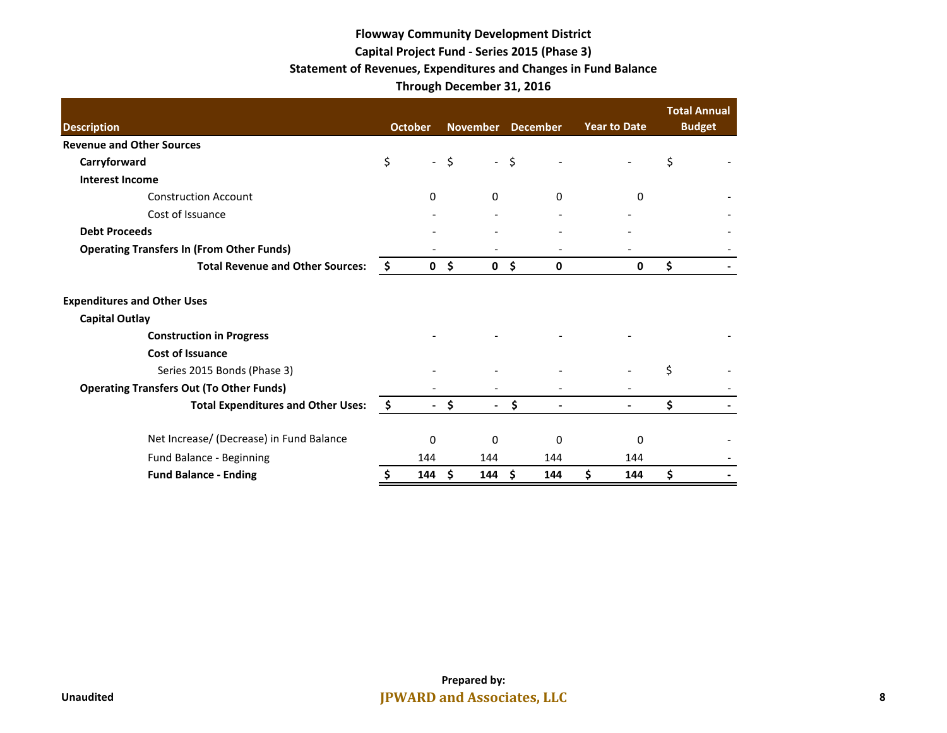# **Flowway Community Development District Capital Project Fund - Series 2015 (Phase 3) Statement of Revenues, Expenditures and Changes in Fund Balance Through December 31, 2016**

|                                                  |     |                          |        |                          |      |          |                     | <b>Total Annual</b> |
|--------------------------------------------------|-----|--------------------------|--------|--------------------------|------|----------|---------------------|---------------------|
| <b>Description</b>                               |     | <b>October</b>           |        | November December        |      |          | <b>Year to Date</b> | <b>Budget</b>       |
| <b>Revenue and Other Sources</b>                 |     |                          |        |                          |      |          |                     |                     |
| Carryforward                                     | \$  |                          | $-$ \$ |                          | $-5$ |          |                     | \$                  |
| <b>Interest Income</b>                           |     |                          |        |                          |      |          |                     |                     |
| <b>Construction Account</b>                      |     | 0                        |        | $\Omega$                 |      | $\Omega$ | <sup>0</sup>        |                     |
| Cost of Issuance                                 |     |                          |        |                          |      |          |                     |                     |
| <b>Debt Proceeds</b>                             |     |                          |        |                          |      |          |                     |                     |
| <b>Operating Transfers In (From Other Funds)</b> |     |                          |        |                          |      |          |                     |                     |
| <b>Total Revenue and Other Sources:</b>          | -\$ | $\mathbf 0$              | \$     | $\mathbf{0}$             | Ŝ.   | 0        | 0                   | \$                  |
| <b>Expenditures and Other Uses</b>               |     |                          |        |                          |      |          |                     |                     |
| <b>Capital Outlay</b>                            |     |                          |        |                          |      |          |                     |                     |
| <b>Construction in Progress</b>                  |     |                          |        |                          |      |          |                     |                     |
| <b>Cost of Issuance</b>                          |     |                          |        |                          |      |          |                     |                     |
| Series 2015 Bonds (Phase 3)                      |     |                          |        |                          |      |          |                     | Ś                   |
| <b>Operating Transfers Out (To Other Funds)</b>  |     |                          |        |                          |      |          |                     |                     |
| <b>Total Expenditures and Other Uses:</b>        | -\$ | $\overline{\phantom{0}}$ | \$     | $\overline{\phantom{0}}$ | \$   |          |                     | \$                  |
| Net Increase/ (Decrease) in Fund Balance         |     | $\Omega$                 |        | 0                        |      | $\Omega$ | $\Omega$            |                     |
| Fund Balance - Beginning                         |     | 144                      |        | 144                      |      | 144      | 144                 |                     |
| <b>Fund Balance - Ending</b>                     |     | 144                      | Ŝ.     | 144                      | -Ś   | 144      | \$<br>144           | \$                  |